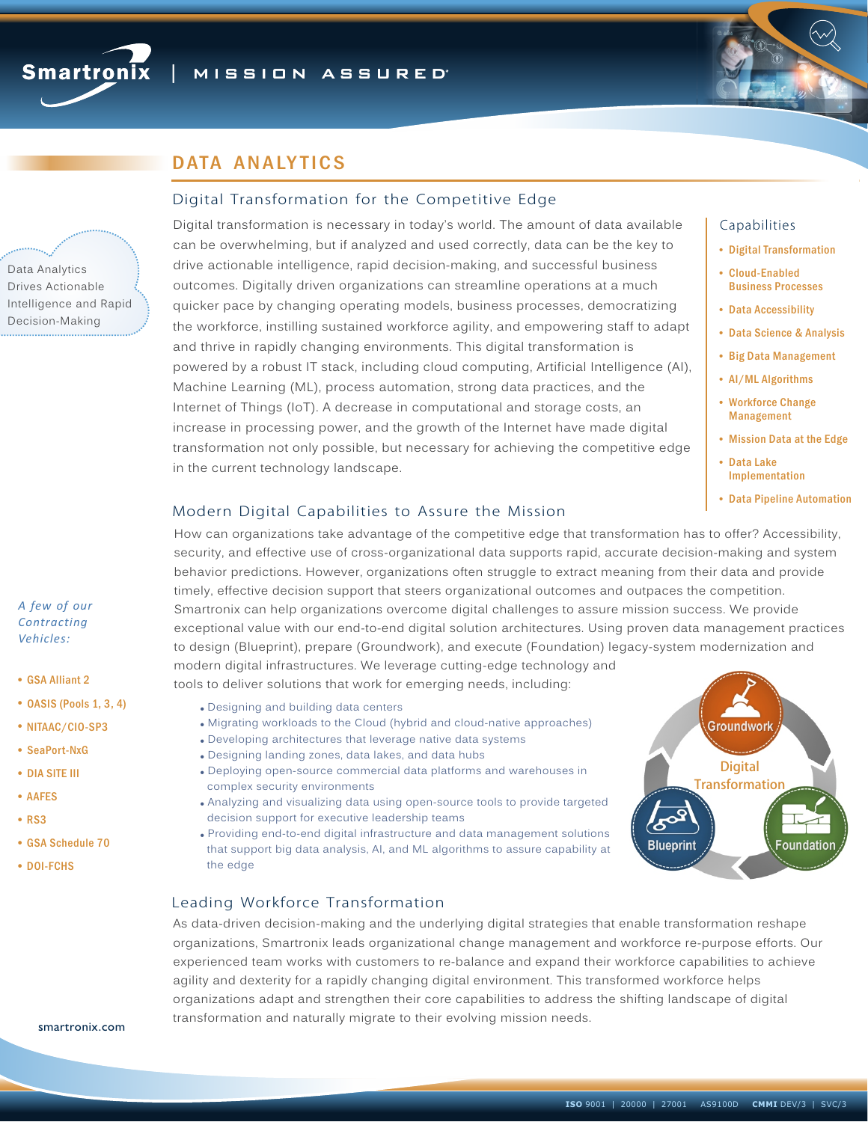



# DATA ANALY TICS

### Digital Transformation for the Competitive Edge

Data Analytics Drives Actionable Intelligence and Rapid Decision-Making

Digital transformation is necessary in today's world. The amount of data available can be overwhelming, but if analyzed and used correctly, data can be the key to drive actionable intelligence, rapid decision-making, and successful business outcomes. Digitally driven organizations can streamline operations at a much quicker pace by changing operating models, business processes, democratizing the workforce, instilling sustained workforce agility, and empowering staff to adapt and thrive in rapidly changing environments. This digital transformation is powered by a robust IT stack, including cloud computing, Artificial Intelligence (AI), Machine Learning (ML), process automation, strong data practices, and the Internet of Things (IoT). A decrease in computational and storage costs, an increase in processing power, and the growth of the Internet have made digital transformation not only possible, but necessary for achieving the competitive edge in the current technology landscape.

#### Capabilities

- Digital Transformation
- ! Cloud-Enabled Business Processes
- Data Accessibility
- Data Science & Analysis
- ! Big Data Management
- AI/ML Algorithms
- Workforce Change Management
- Mission Data at the Edge
- ! Data Lake Implementation
- Data Pipeline Automation

# Modern Digital Capabilities to Assure the Mission

How can organizations take advantage of the competitive edge that transformation has to offer? Accessibility, security, and effective use of cross-organizational data supports rapid, accurate decision-making and system behavior predictions. However, organizations often struggle to extract meaning from their data and provide timely, effective decision support that steers organizational outcomes and outpaces the competition. Smartronix can help organizations overcome digital challenges to assure mission success. We provide exceptional value with our end-to-end digital solution architectures. Using proven data management practices to design (Blueprint), prepare (Groundwork), and execute (Foundation) legacy-system modernization and modern digital infrastructures. We leverage cutting-edge technology and

tools to deliver solutions that work for emerging needs, including:

- . Designing and building data centers
	- . Migrating workloads to the Cloud (hybrid and cloud-native approaches)
	- . Developing architectures that leverage native data systems
	- . Designing landing zones, data lakes, and data hubs
	- ! Deploying open-source commercial data platforms and warehouses in complex security environments
	- . Analyzing and visualizing data using open-source tools to provide targeted decision support for executive leadership teams
	- ! Providing end-to-end digital infrastructure and data management solutions that support big data analysis, AI, and ML algorithms to assure capability at the edge



## Leading Workforce Transformation

As data-driven decision-making and the underlying digital strategies that enable transformation reshape organizations, Smartronix leads organizational change management and workforce re-purpose efforts. Our experienced team works with customers to re-balance and expand their workforce capabilities to achieve agility and dexterity for a rapidly changing digital environment. This transformed workforce helps organizations adapt and strengthen their core capabilities to address the shifting landscape of digital transformation and naturally migrate to their evolving mission needs.

### *A few of our Contracting Vehicles:*

- ! GSA Alliant 2
- OASIS (Pools 1, 3, 4)
- NITAAC/CIO-SP3
- ! SeaPort-NxG
- ! DIA SITE III
- ! AAFES
- $\cdot$  RS3
- ! GSA Schedule 70
- DOI-FCHS